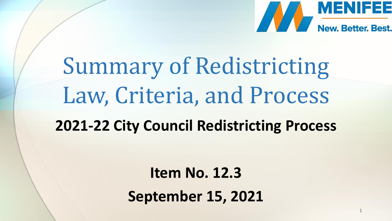

1

# Summary of Redistricting Law, Criteria, and Process **2021-22 City Council Redistricting Process**

**Item No. 12.3 September 15, 2021**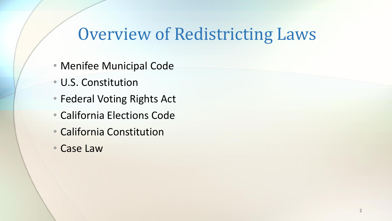# Overview of Redistricting Laws

- Menifee Municipal Code
- U.S. Constitution
- Federal Voting Rights Act
- California Elections Code
- California Constitution
- Case Law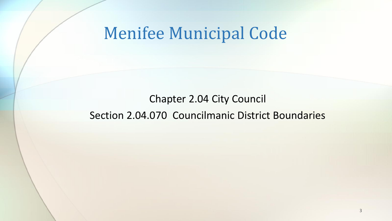#### Menifee Municipal Code

#### Chapter 2.04 City Council Section 2.04.070 Councilmanic District Boundaries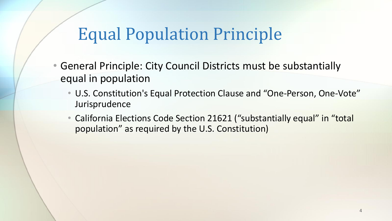- General Principle: City Council Districts must be substantially equal in population
	- U.S. Constitution's Equal Protection Clause and "One-Person, One-Vote" Jurisprudence
	- California Elections Code Section 21621 ("substantially equal" in "total population" as required by the U.S. Constitution)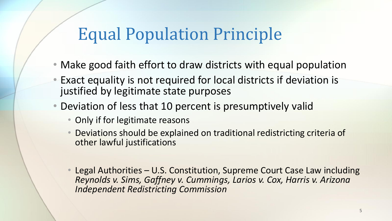- Make good faith effort to draw districts with equal population
- Exact equality is not required for local districts if deviation is justified by legitimate state purposes
- Deviation of less that 10 percent is presumptively valid
	- Only if for legitimate reasons
	- Deviations should be explained on traditional redistricting criteria of other lawful justifications
	- Legal Authorities U.S. Constitution, Supreme Court Case Law including *Reynolds v. Sims, Gaffney v. Cummings, Larios v. Cox, Harris v. Arizona Independent Redistricting Commission*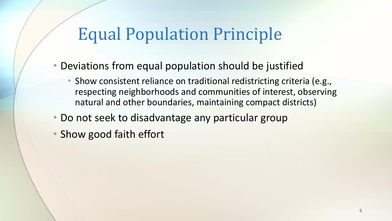- Deviations from equal population should be justified
	- Show consistent reliance on traditional redistricting criteria (e.g., respecting neighborhoods and communities of interest, observing natural and other boundaries, maintaining compact districts)
- Do not seek to disadvantage any particular group
- Show good faith effort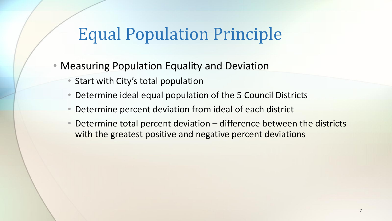- Measuring Population Equality and Deviation
	- Start with City's total population
	- Determine ideal equal population of the 5 Council Districts
	- Determine percent deviation from ideal of each district
	- Determine total percent deviation difference between the districts with the greatest positive and negative percent deviations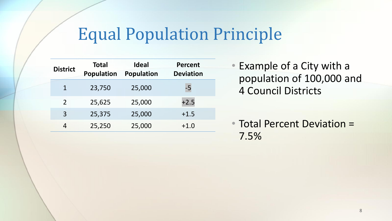| <b>District</b> | <b>Total</b><br><b>Population</b> | <b>Ideal</b><br><b>Population</b> | <b>Percent</b><br><b>Deviation</b> |
|-----------------|-----------------------------------|-----------------------------------|------------------------------------|
| $\mathbf{1}$    | 23,750                            | 25,000                            | $-5$                               |
| $\mathcal{P}$   | 25,625                            | 25,000                            | $+2.5$                             |
| 3               | 25,375                            | 25,000                            | $+1.5$                             |
| 4               | 25,250                            | 25,000                            | $+1.0$                             |

• Example of a City with a population of 100,000 and 4 Council Districts

• Total Percent Deviation = 7.5%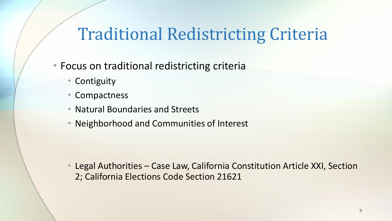# Traditional Redistricting Criteria

- Focus on traditional redistricting criteria
	- Contiguity
	- Compactness
	- Natural Boundaries and Streets
	- Neighborhood and Communities of Interest

• Legal Authorities – Case Law, California Constitution Article XXI, Section 2; California Elections Code Section 21621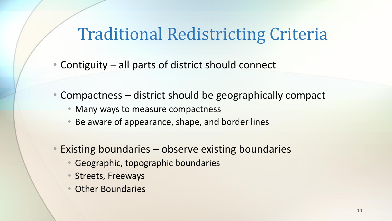#### Traditional Redistricting Criteria

- Contiguity all parts of district should connect
- Compactness district should be geographically compact
	- Many ways to measure compactness
	- Be aware of appearance, shape, and border lines
- Existing boundaries observe existing boundaries
	- Geographic, topographic boundaries
	- Streets, Freeways
	- Other Boundaries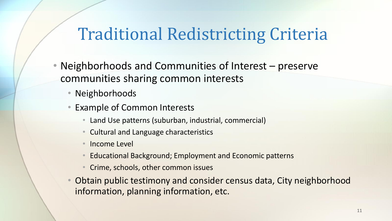## Traditional Redistricting Criteria

- Neighborhoods and Communities of Interest preserve communities sharing common interests
	- Neighborhoods
	- Example of Common Interests
		- Land Use patterns (suburban, industrial, commercial)
		- Cultural and Language characteristics
		- Income Level
		- Educational Background; Employment and Economic patterns
		- Crime, schools, other common issues
	- Obtain public testimony and consider census data, City neighborhood information, planning information, etc.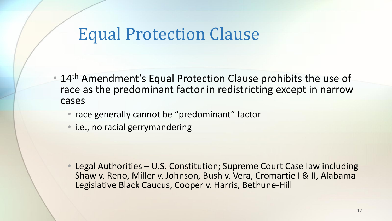#### Equal Protection Clause

- 14<sup>th</sup> Amendment's Equal Protection Clause prohibits the use of race as the predominant factor in redistricting except in narrow cases
	- race generally cannot be "predominant" factor
	- i.e., no racial gerrymandering

• Legal Authorities – U.S. Constitution; Supreme Court Case law including Shaw v. Reno, Miller v. Johnson, Bush v. Vera, Cromartie I & II, Alabama Legislative Black Caucus, Cooper v. Harris, Bethune-Hill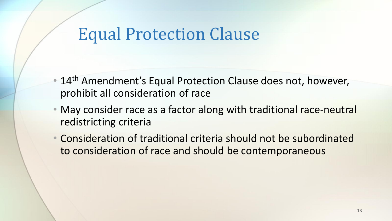#### Equal Protection Clause

- 14<sup>th</sup> Amendment's Equal Protection Clause does not, however, prohibit all consideration of race
- May consider race as a factor along with traditional race-neutral redistricting criteria
- Consideration of traditional criteria should not be subordinated to consideration of race and should be contemporaneous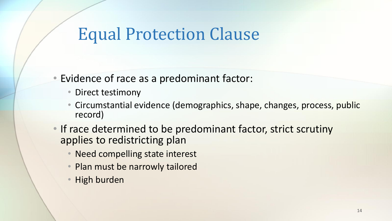#### Equal Protection Clause

- Evidence of race as a predominant factor:
	- Direct testimony
	- Circumstantial evidence (demographics, shape, changes, process, public record)
- If race determined to be predominant factor, strict scrutiny applies to redistricting plan
	- Need compelling state interest
	- Plan must be narrowly tailored
	- High burden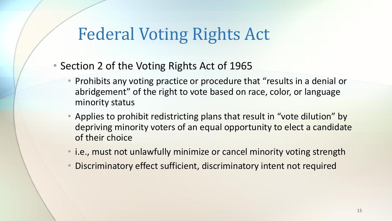# Federal Voting Rights Act

- Section 2 of the Voting Rights Act of 1965
	- Prohibits any voting practice or procedure that "results in a denial or abridgement" of the right to vote based on race, color, or language minority status
	- Applies to prohibit redistricting plans that result in "vote dilution" by depriving minority voters of an equal opportunity to elect a candidate of their choice
	- i.e., must not unlawfully minimize or cancel minority voting strength
	- Discriminatory effect sufficient, discriminatory intent not required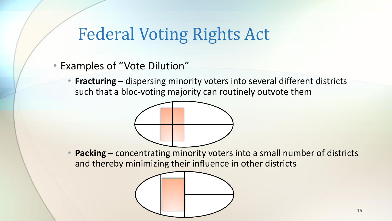# Federal Voting Rights Act

- Examples of "Vote Dilution"
	- **Fracturing** dispersing minority voters into several different districts such that a bloc-voting majority can routinely outvote them



Packing – concentrating minority voters into a small number of districts and thereby minimizing their influence in other districts

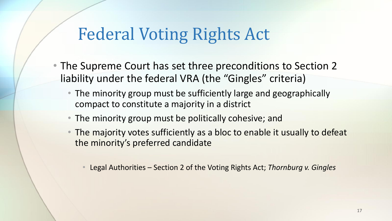# Federal Voting Rights Act

- The Supreme Court has set three preconditions to Section 2 liability under the federal VRA (the "Gingles" criteria)
	- The minority group must be sufficiently large and geographically compact to constitute a majority in a district
	- The minority group must be politically cohesive; and
	- The majority votes sufficiently as a bloc to enable it usually to defeat the minority's preferred candidate
		- Legal Authorities Section 2 of the Voting Rights Act; *Thornburg v. Gingles*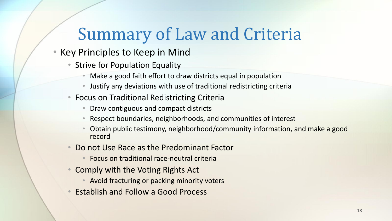# Summary of Law and Criteria

- Key Principles to Keep in Mind
	- Strive for Population Equality
		- Make a good faith effort to draw districts equal in population
		- Justify any deviations with use of traditional redistricting criteria
	- Focus on Traditional Redistricting Criteria
		- Draw contiguous and compact districts
		- Respect boundaries, neighborhoods, and communities of interest
		- Obtain public testimony, neighborhood/community information, and make a good record
	- Do not Use Race as the Predominant Factor
		- Focus on traditional race-neutral criteria
	- Comply with the Voting Rights Act
		- Avoid fracturing or packing minority voters
	- Establish and Follow a Good Process